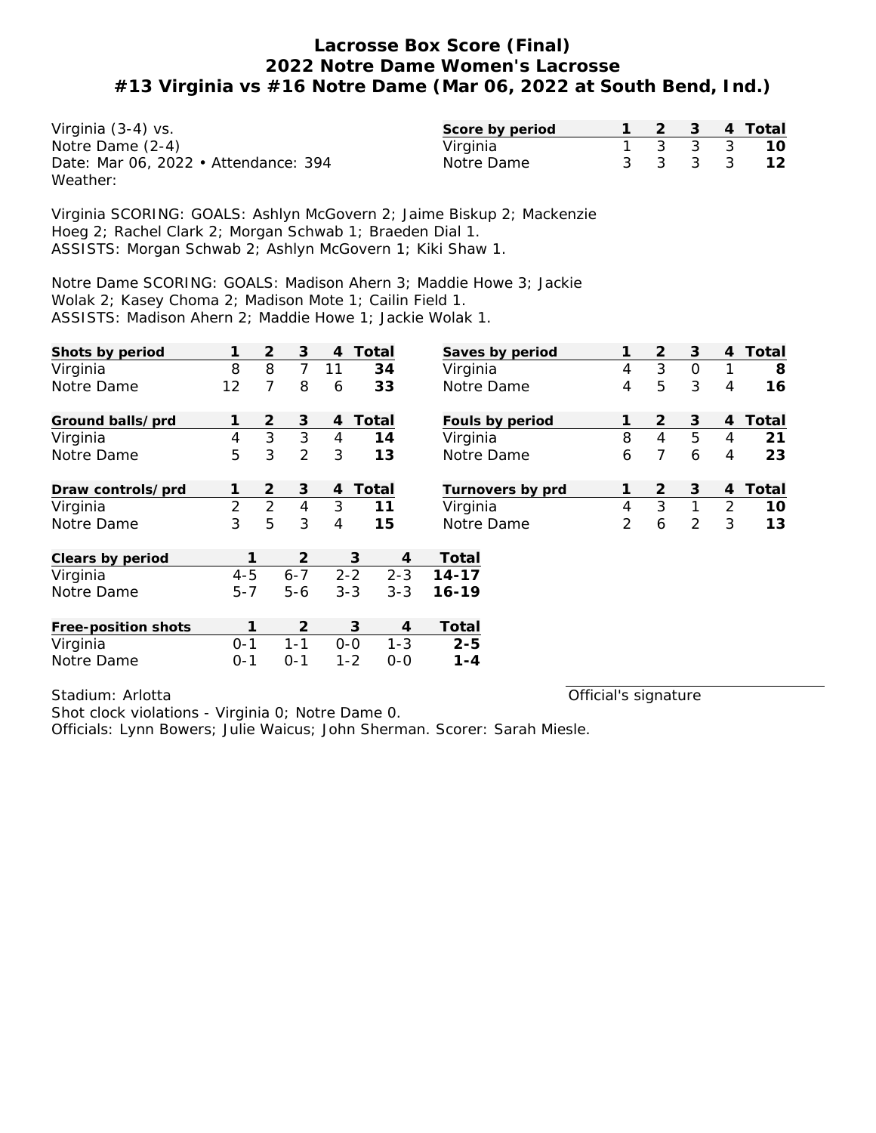| Virginia (3-4) vs.                   | Score by period |  |  | 2  3  4  Total |
|--------------------------------------|-----------------|--|--|----------------|
| Notre Dame (2-4)                     | Virginia        |  |  | 1 3 3 3 10     |
| Date: Mar 06, 2022 • Attendance: 394 | Notre Dame      |  |  | 3 3 3 3 12     |
| Weather:                             |                 |  |  |                |

Virginia SCORING: GOALS: Ashlyn McGovern 2; Jaime Biskup 2; Mackenzie Hoeg 2; Rachel Clark 2; Morgan Schwab 1; Braeden Dial 1. ASSISTS: Morgan Schwab 2; Ashlyn McGovern 1; Kiki Shaw 1.

Notre Dame SCORING: GOALS: Madison Ahern 3; Maddie Howe 3; Jackie Wolak 2; Kasey Choma 2; Madison Mote 1; Cailin Field 1. ASSISTS: Madison Ahern 2; Maddie Howe 1; Jackie Wolak 1.

| Shots by period     |                | 2              | 3              | 4       | Total              | Saves by period         | 1              | 2              | 3           | 4              | Total |
|---------------------|----------------|----------------|----------------|---------|--------------------|-------------------------|----------------|----------------|-------------|----------------|-------|
| Virginia            | 8              | 8              | $\overline{7}$ | 11      | 34                 | Virginia                | $\overline{4}$ | 3              | $\mathbf 0$ | 1              | 8     |
| Notre Dame          | 12             | 7              | 8              | 6       | 33                 | Notre Dame              | 4              | 5              | 3           | 4              | 16    |
| Ground balls/prd    |                | 2              | 3              | 4       | Total              | Fouls by period         | 1              | $\overline{2}$ | 3           | 4              | Total |
| Virginia            | $\overline{4}$ | 3              | 3              | 4       | 14                 | Virginia                | 8              | $\overline{4}$ | 5           | 4              | 21    |
| Notre Dame          | 5              | 3              | $\overline{2}$ | 3       | 13                 | Notre Dame              | 6              | 7              | 6           | 4              | 23    |
| Draw controls/prd   |                | 2              | 3              | 4       | Total              | Turnovers by prd        | 1              | 2              | 3           | 4              | Total |
| Virginia            | $\overline{2}$ | $\overline{2}$ | $\overline{4}$ | 3       | 11                 | Virginia                | $\overline{4}$ | 3              | 1           | $\overline{2}$ | 10    |
| Notre Dame          | 3              | 5              | 3              | 4       | 15                 | Notre Dame              | 2              | 6              | 2           | 3              | 13    |
| Clears by period    |                |                | 2              |         | 3                  | Total<br>4              |                |                |             |                |       |
| Virginia            | $4 - 5$        |                | $6 - 7$        |         | $2 - 2$<br>$2 - 3$ | $14 - 17$               |                |                |             |                |       |
| Notre Dame          | $5 - 7$        |                | $5 - 6$        | $3 - 3$ | $3 - 3$            | $16 - 19$               |                |                |             |                |       |
| Free-position shots |                | 1              | $\overline{2}$ |         | 3                  | Total<br>$\overline{4}$ |                |                |             |                |       |
| Virginia            | $0 - 1$        |                | $1 - 1$        | $0 - 0$ | $1 - 3$            | $2 - 5$                 |                |                |             |                |       |
| Notre Dame          | $0 - 1$        |                | $0 - 1$        |         | $1 - 2$<br>$0 - 0$ | $1 - 4$                 |                |                |             |                |       |

Stadium: Arlotta

Official's signature

Shot clock violations - Virginia 0; Notre Dame 0. Officials: Lynn Bowers; Julie Waicus; John Sherman. Scorer: Sarah Miesle.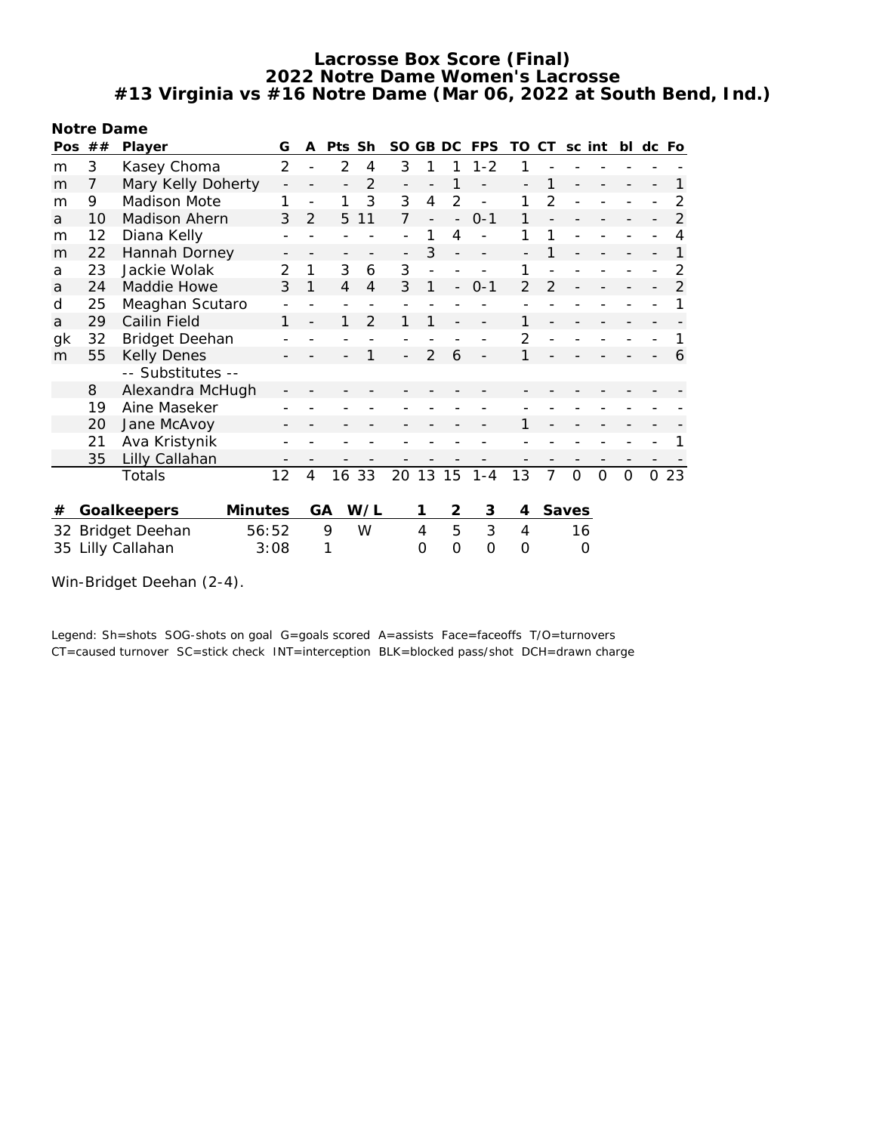**Notre Dame**

| Pos | ##                     | Player                | G              |                | A              | Pts Sh         |                | SO.            | GB DC          |          | <b>FPS</b>   | TO       | CT             | sc int   |          | bl       | dc Fo |                |
|-----|------------------------|-----------------------|----------------|----------------|----------------|----------------|----------------|----------------|----------------|----------|--------------|----------|----------------|----------|----------|----------|-------|----------------|
| m   | 3                      | Kasey Choma           |                | $\overline{2}$ |                | $\overline{2}$ | 4              | 3              |                |          | $1 - 2$      |          |                |          |          |          |       |                |
| m   | 7                      | Mary Kelly Doherty    |                |                |                |                | $\overline{2}$ |                |                |          |              |          |                |          |          |          |       |                |
| m   | 9                      | Madison Mote          |                |                |                |                | 3              | 3              | 4              | 2        |              |          | $\overline{2}$ |          |          |          |       | 2              |
| a   | 10                     | Madison Ahern         |                | 3              | 2              | 5              | 11             | $\overline{7}$ |                |          | $0 - 1$      |          |                |          |          |          |       | $\overline{2}$ |
| m   | 12                     | Diana Kelly           |                |                |                |                |                |                |                | 4        |              |          |                |          |          |          |       | 4              |
| m   | 22                     | Hannah Dorney         |                |                |                |                |                |                | 3              |          |              |          |                |          |          |          |       | 1              |
| a   | 23                     | Jackie Wolak          |                | 2              | 1              | 3              | 6              | 3              |                |          |              |          |                |          |          |          |       | 2              |
| a   | 24                     | Maddie Howe           |                | 3              | 1              | $\overline{4}$ | $\overline{4}$ | 3              | 1              |          | $0 - 1$      | 2        | 2              |          |          |          |       | $\overline{2}$ |
| d   | 25                     | Meaghan Scutaro       |                |                |                |                |                |                |                |          |              |          |                |          |          |          |       |                |
| a   | 29                     | Cailin Field          |                |                |                | 1              | $\overline{2}$ |                |                |          |              |          |                |          |          |          |       |                |
| gk  | 32                     | <b>Bridget Deehan</b> |                |                |                |                |                |                |                |          |              |          |                |          |          |          |       |                |
| m   | 55                     | <b>Kelly Denes</b>    |                |                |                |                |                |                | $\mathfrak{D}$ | 6        |              |          |                |          |          |          |       | 6              |
|     |                        | -- Substitutes --     |                |                |                |                |                |                |                |          |              |          |                |          |          |          |       |                |
|     | 8                      | Alexandra McHugh      |                |                |                |                |                |                |                |          |              |          |                |          |          |          |       |                |
|     | 19                     | Aine Maseker          |                |                |                |                |                |                |                |          |              |          |                |          |          |          |       |                |
|     | 20                     | Jane McAvoy           |                |                |                |                |                |                |                |          |              |          |                |          |          |          |       |                |
|     | 21                     | Ava Kristynik         |                |                |                |                |                |                |                |          |              |          |                |          |          |          |       |                |
|     | 35                     | Lilly Callahan        |                |                |                |                |                |                |                |          |              |          |                |          |          |          |       |                |
|     |                        | Totals                | 12             |                | $\overline{4}$ | 16 33          |                |                |                |          | 20 13 15 1-4 | 13       | $\overline{7}$ | $\Omega$ | $\Omega$ | $\Omega$ |       | 023            |
|     |                        |                       |                |                |                |                |                |                |                |          |              |          |                |          |          |          |       |                |
| #   |                        | Goalkeepers           | <b>Minutes</b> |                | GA             |                | W/L            |                | 1              | 2        | 3            | 4        |                | Saves    |          |          |       |                |
|     |                        | 32 Bridget Deehan     | 56:52          |                |                | 9              | W              |                | 4              | 5        | 3            | 4        |                | 16       |          |          |       |                |
| 35  | Lilly Callahan<br>3:08 |                       |                |                |                | 1              |                |                | O              | $\Omega$ | $\Omega$     | $\Omega$ |                | O        |          |          |       |                |
|     |                        |                       |                |                |                |                |                |                |                |          |              |          |                |          |          |          |       |                |

Win-Bridget Deehan (2-4).

Legend: Sh=shots SOG-shots on goal G=goals scored A=assists Face=faceoffs T/O=turnovers CT=caused turnover SC=stick check INT=interception BLK=blocked pass/shot DCH=drawn charge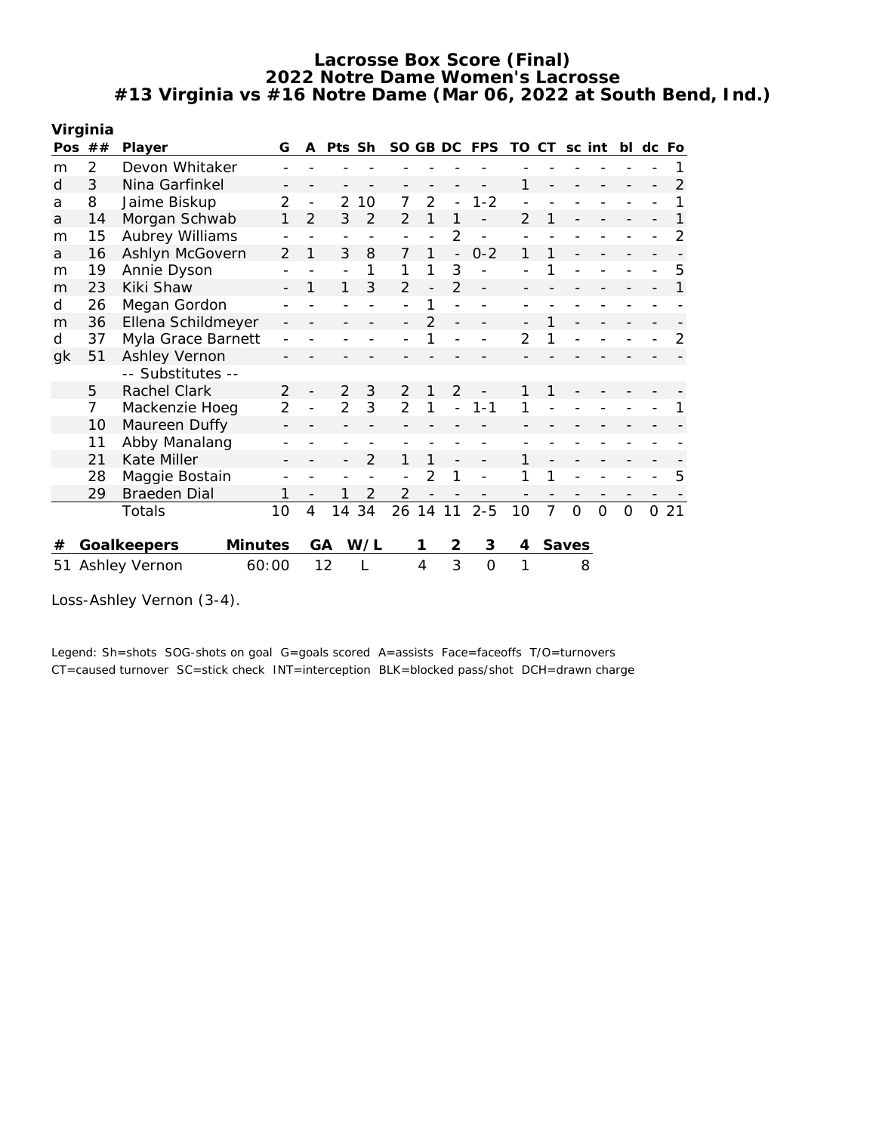|    | Virginia             |                        |                |                |                          |                |                |                |                          |              |                |    |        |   |          |       |    |
|----|----------------------|------------------------|----------------|----------------|--------------------------|----------------|----------------|----------------|--------------------------|--------------|----------------|----|--------|---|----------|-------|----|
|    | Pos $##$             | Player                 | G              | A              | Pts Sh                   |                |                |                |                          | SO GB DC FPS | TO.            | CT | sc int |   | bl       | dc Fo |    |
| m  | 2                    | Devon Whitaker         |                |                |                          |                |                |                |                          |              |                |    |        |   |          |       |    |
| d  | 3                    | Nina Garfinkel         |                |                |                          |                |                |                |                          |              | 1              |    |        |   |          |       | 2  |
| a  | 8                    | Jaime Biskup           | 2              |                | 2                        | 10             | 7              | $\overline{2}$ | $\overline{a}$           | $1 - 2$      |                |    |        |   |          |       |    |
| a  | 14                   | Morgan Schwab          | 1              | $\overline{2}$ | 3                        | $\overline{2}$ | 2              | 1              |                          |              | $\overline{2}$ | 1  |        |   |          |       |    |
| m  | 15                   | Aubrey Williams        |                |                | $\overline{\phantom{a}}$ |                |                | $\overline{a}$ | $\overline{2}$           |              |                |    |        |   |          |       |    |
| a  | 16                   | Ashlyn McGovern        | 2              | 1              | 3                        | 8              | 7              | 1              | $\overline{\phantom{0}}$ | $0 - 2$      | 1              | 1  |        |   |          |       |    |
| m  | 19                   | Annie Dyson            |                |                | $\overline{a}$           | 1              | 1              | 1              | 3                        |              |                | 1  |        |   |          |       | 5  |
| m  | 23                   | Kiki Shaw              |                | 1              | 1                        | 3              | $\overline{2}$ | $\overline{a}$ | $\overline{2}$           |              |                |    |        |   |          |       |    |
| d  | 26                   | Megan Gordon           |                |                |                          |                |                | 1              |                          |              |                |    |        |   |          |       |    |
| m  | 36                   | Ellena Schildmeyer     |                |                |                          |                |                | $\overline{2}$ |                          |              |                |    |        |   |          |       |    |
| d  | 37                   | Myla Grace Barnett     |                |                |                          |                |                |                |                          |              | $\overline{2}$ | 1  |        |   |          |       | 2  |
| gk | 51                   | Ashley Vernon          |                |                |                          |                |                |                |                          |              |                |    |        |   |          |       |    |
|    |                      | -- Substitutes --      |                |                |                          |                |                |                |                          |              |                |    |        |   |          |       |    |
|    | 5                    | Rachel Clark           | 2              |                | 2                        | 3              | 2              | 1              | $\overline{2}$           |              |                | 1  |        |   |          |       |    |
|    | 7                    | Mackenzie Hoeg         | $\overline{2}$ |                | 2                        | 3              | $\overline{2}$ |                |                          | $1 - 1$      |                |    |        |   |          |       |    |
|    | 10                   | Maureen Duffy          |                |                |                          |                |                |                |                          |              |                |    |        |   |          |       |    |
|    | 11                   | Abby Manalang          |                |                |                          |                |                |                |                          |              |                |    |        |   |          |       |    |
|    | 21                   | Kate Miller            |                |                |                          | 2              |                | 1              |                          |              |                |    |        |   |          |       |    |
|    | 28                   | Maggie Bostain         |                |                |                          |                |                | 2              | 1                        |              |                | 1  |        |   |          |       | 5  |
|    | 29                   | <b>Braeden Dial</b>    |                |                | 1                        | 2              | 2              |                |                          |              |                |    |        |   |          |       |    |
|    |                      | Totals                 | 10             | 4              | 14                       | 34             | 26             | 14             | 11                       | $2 - 5$      | 10             | 7  | 0      | 0 | $\Omega$ | O     | 21 |
|    |                      |                        |                |                |                          |                |                |                |                          |              |                |    |        |   |          |       |    |
| #  |                      | Minutes<br>Goalkeepers |                | <b>GA</b>      |                          | W/L            |                | 1              | 2                        | 3            | 4              |    | Saves  |   |          |       |    |
| 51 | <b>Ashley Vernon</b> | 12                     |                |                |                          | 4              | 3              | $\overline{O}$ | 1                        |              | 8              |    |        |   |          |       |    |

Loss-Ashley Vernon (3-4).

Legend: Sh=shots SOG-shots on goal G=goals scored A=assists Face=faceoffs T/O=turnovers CT=caused turnover SC=stick check INT=interception BLK=blocked pass/shot DCH=drawn charge